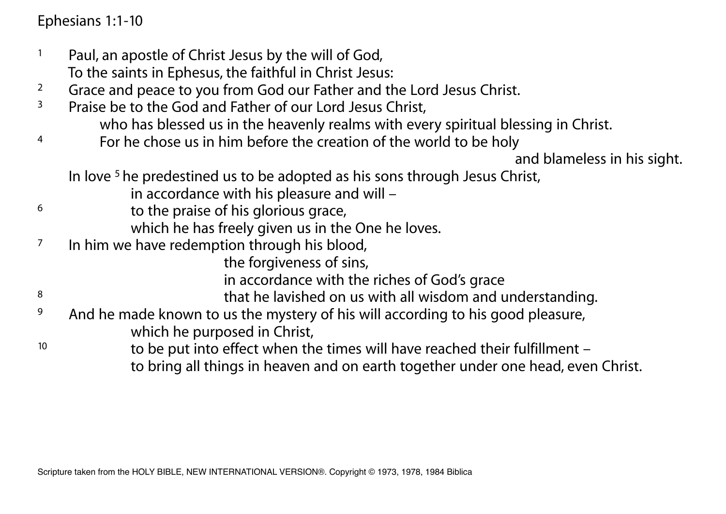Ephesians 1:1-10

- <sup>1</sup> Paul, an apostle of Christ Jesus by the will of God, To the saints in Ephesus, the faithful in Christ Jesus:
- <sup>2</sup> Grace and peace to you from God our Father and the Lord Jesus Christ.
- <sup>3</sup> Praise be to the God and Father of our Lord Jesus Christ, who has blessed us in the heavenly realms with every spiritual blessing in Christ.
- <sup>4</sup> For he chose us in him before the creation of the world to be holy

and blameless in his sight.

In love 5 he predestined us to be adopted as his sons through Jesus Christ,

- in accordance with his pleasure and will –
- <sup>6</sup> to the praise of his glorious grace,
	- which he has freely given us in the One he loves.
- <sup>7</sup> In him we have redemption through his blood,
	- the forgiveness of sins,
	- in accordance with the riches of God's grace
- 8 a set of that he lavished on us with all wisdom and understanding.
- $9$  And he made known to us the mystery of his will according to his good pleasure, which he purposed in Christ,
- $10$  to be put into effect when the times will have reached their fulfillment to bring all things in heaven and on earth together under one head, even Christ.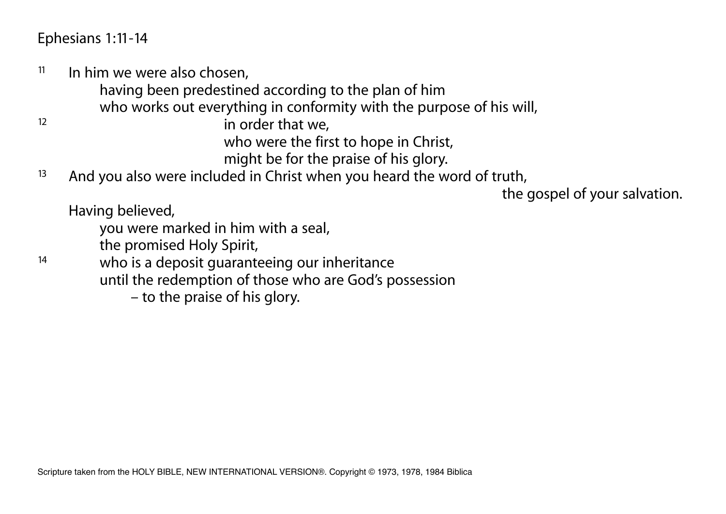Ephesians 1:11-14

 $11$  In him we were also chosen. having been predestined according to the plan of him who works out everything in conformity with the purpose of his will, 12 **in order that we**  who were the first to hope in Christ, might be for the praise of his glory.  $13$  And you also were included in Christ when you heard the word of truth, the gospel of your salvation. Having believed, you were marked in him with a seal, the promised Holy Spirit, 14 who is a deposit guaranteeing our inheritance until the redemption of those who are God's possession

– to the praise of his glory.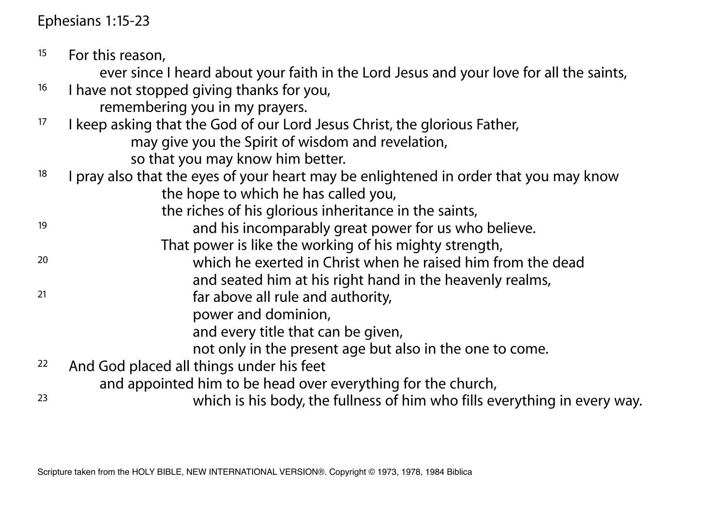### Ephesians 1:15-23

15 For this reason, ever since I heard about your faith in the Lord Jesus and your love for all the saints, <sup>16</sup> I have not stopped giving thanks for you, remembering you in my prayers. <sup>17</sup> I keep asking that the God of our Lord Jesus Christ, the glorious Father, may give you the Spirit of wisdom and revelation, so that you may know him better.  $18$  I pray also that the eyes of your heart may be enlightened in order that you may know the hope to which he has called you, the riches of his glorious inheritance in the saints, 19 and his incomparably great power for us who believe. That power is like the working of his mighty strength, 20 which he exerted in Christ when he raised him from the dead and seated him at his right hand in the heavenly realms, far above all rule and authority, power and dominion, and every title that can be given, not only in the present age but also in the one to come. 22 And God placed all things under his feet and appointed him to be head over everything for the church, <sup>23</sup> which is his body, the fullness of him who fills everything in every way.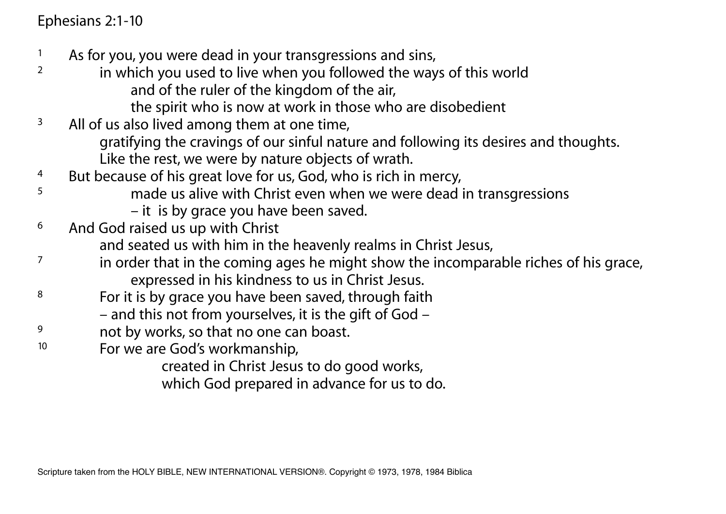# Ephesians 2:1-10

- <sup>1</sup> As for you, you were dead in your transgressions and sins,
- <sup>2</sup> in which you used to live when you followed the ways of this world and of the ruler of the kingdom of the air, the spirit who is now at work in those who are disobedient
- $3$  All of us also lived among them at one time, gratifying the cravings of our sinful nature and following its desires and thoughts. Like the rest, we were by nature objects of wrath.
- <sup>4</sup> But because of his great love for us, God, who is rich in mercy,
	- made us alive with Christ even when we were dead in transgressions
		- it is by grace you have been saved.
- <sup>6</sup> And God raised us up with Christ
	- and seated us with him in the heavenly realms in Christ Jesus,
- $7 \cdot$  in order that in the coming ages he might show the incomparable riches of his grace, expressed in his kindness to us in Christ Jesus.
- 8 For it is by grace you have been saved, through faith
	- and this not from yourselves, it is the gift of God –
- <sup>9</sup> not by works, so that no one can boast.
- 10 For we are God's workmanship,

created in Christ Jesus to do good works,

which God prepared in advance for us to do.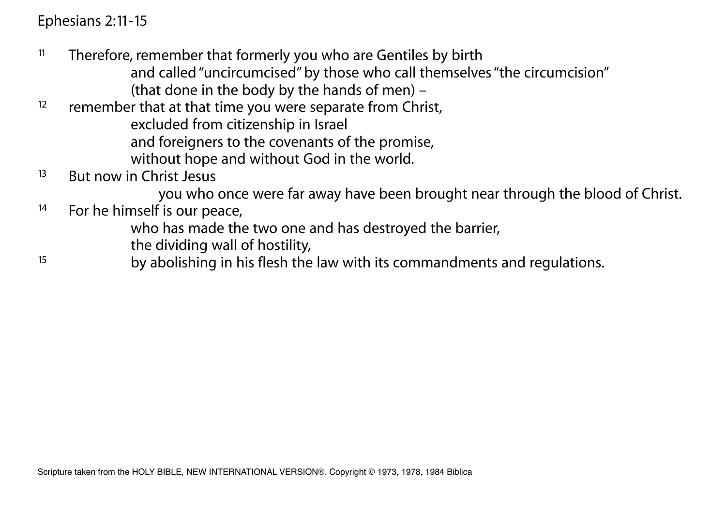### Ephesians 2:11-15

- $11$  Therefore, remember that formerly you who are Gentiles by birth and called "uncircumcised" by those who call themselves "the circumcision" (that done in the body by the hands of men) –<br><sup>12</sup> remember that at that time you were separate from Chri
- remember that at that time you were separate from Christ, excluded from citizenship in Israel and foreigners to the covenants of the promise, without hope and without God in the world.
- 13 But now in Christ Jesus

you who once were far away have been brought near through the blood of Christ.

<sup>14</sup> For he himself is our peace,

who has made the two one and has destroyed the barrier,

the dividing wall of hostility,

<sup>15</sup> by abolishing in his flesh the law with its commandments and regulations.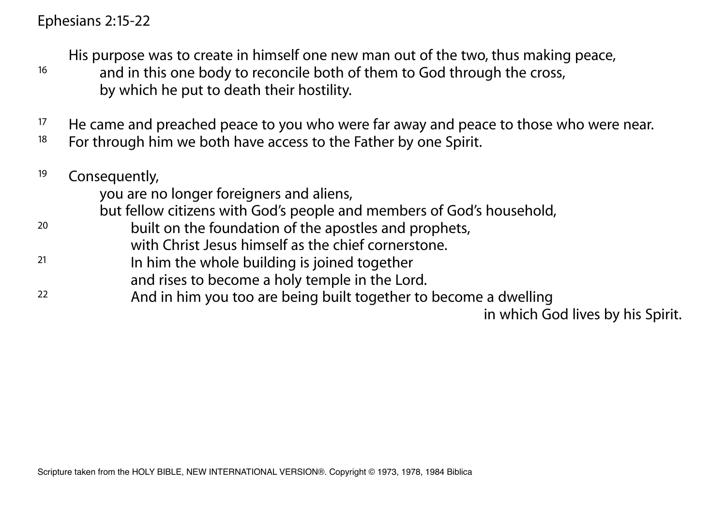His purpose was to create in himself one new man out of the two, thus making peace,

- <sup>16</sup> and in this one body to reconcile both of them to God through the cross, by which he put to death their hostility.
- <sup>17</sup> He came and preached peace to you who were far away and peace to those who were near.<br><sup>18</sup> Eor through him we both have access to the Eather by one Spirit
- For through him we both have access to the Father by one Spirit.

### 19 Consequently,

you are no longer foreigners and aliens,

but fellow citizens with God's people and members of God's household,

- 20 built on the foundation of the apostles and prophets, with Christ Jesus himself as the chief cornerstone.
- $21$  In him the whole building is joined together and rises to become a holy temple in the Lord.<br>And in him you too are boing built together to
- And in him you too are being built together to become a dwelling

in which God lives by his Spirit.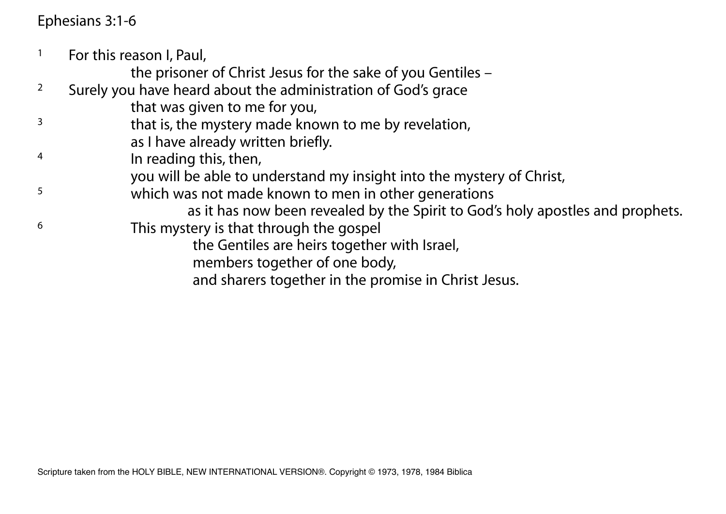Ephesians 3:1-6

- 1 For this reason I, Paul,
	- the prisoner of Christ Jesus for the sake of you Gentiles –
- <sup>2</sup> Surely you have heard about the administration of God's grace
	- that was given to me for you,
- <sup>3</sup> that is, the mystery made known to me by revelation,
	- as I have already written briefly.
- <sup>4</sup> In reading this, then,
	- you will be able to understand my insight into the mystery of Christ,
- 5 which was not made known to men in other generations
	- as it has now been revealed by the Spirit to God's holy apostles and prophets.
- 6 This mystery is that through the gospel
	- the Gentiles are heirs together with Israel,
	- members together of one body,
	- and sharers together in the promise in Christ Jesus.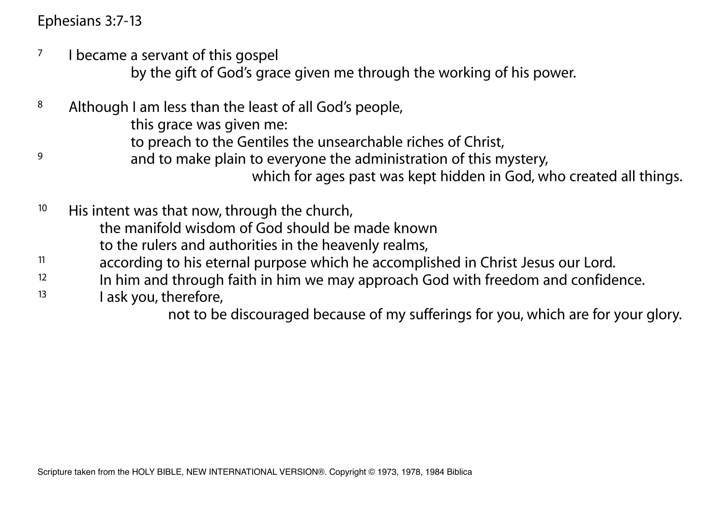Ephesians 3:7-13

 $7$  I became a servant of this gospel

by the gift of God's grace given me through the working of his power.

8 Although I am less than the least of all God's people,

this grace was given me:

to preach to the Gentiles the unsearchable riches of Christ,

<sup>9</sup> and to make plain to everyone the administration of this mystery, which for ages past was kept hidden in God, who created all things.

 $10$  His intent was that now, through the church, the manifold wisdom of God should be made known to the rulers and authorities in the heavenly realms,  $11$  according to his eternal purpose which he accomplished in Christ Jesus our Lord.  $12$  In him and through faith in him we may approach God with freedom and confidence. I ask you, therefore,

not to be discouraged because of my sufferings for you, which are for your glory.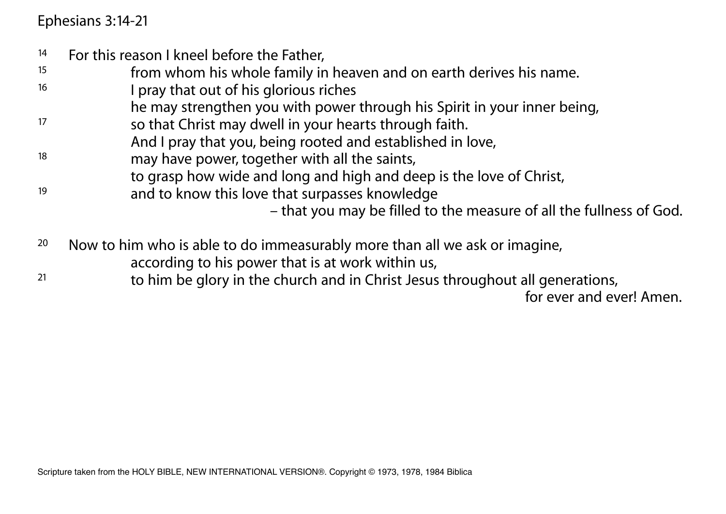#### Ephesians 3:14-21

- <sup>14</sup> For this reason I kneel before the Father,
- <sup>15</sup> from whom his whole family in heaven and on earth derives his name.
- 16 I pray that out of his glorious riches
	- he may strengthen you with power through his Spirit in your inner being,
- 17 so that Christ may dwell in your hearts through faith.
- And I pray that you, being rooted and established in love,
- 18 may have power, together with all the saints,
	- to grasp how wide and long and high and deep is the love of Christ,
- 19 and to know this love that surpasses knowledge
	- that you may be filled to the measure of all the fullness of God.
- <sup>20</sup> Now to him who is able to do immeasurably more than all we ask or imagine, according to his power that is at work within us,
- <sup>21</sup> to him be glory in the church and in Christ Jesus throughout all generations,

for ever and ever! Amen.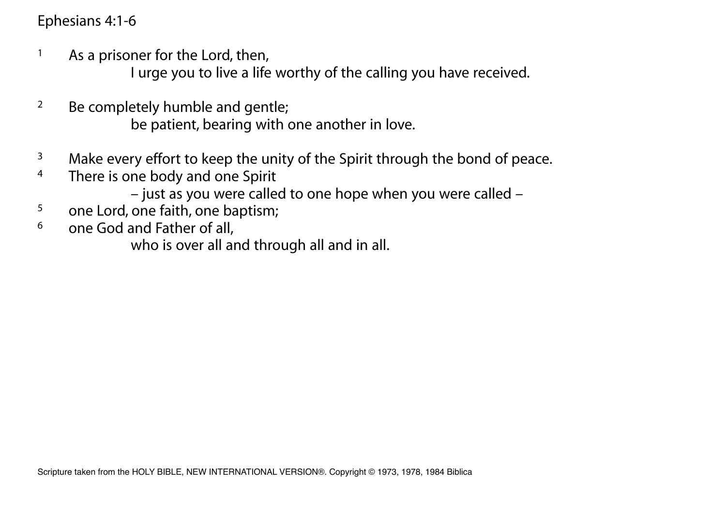Ephesians 4:1-6

- <sup>1</sup> As a prisoner for the Lord, then, I urge you to live a life worthy of the calling you have received.
- <sup>2</sup> Be completely humble and gentle; be patient, bearing with one another in love.
- <sup>3</sup> Make every effort to keep the unity of the Spirit through the bond of peace.
- <sup>4</sup> There is one body and one Spirit
	- just as you were called to one hope when you were called –
- <sup>5</sup> one Lord, one faith, one baptism;
- $6$  one God and Father of all,

who is over all and through all and in all.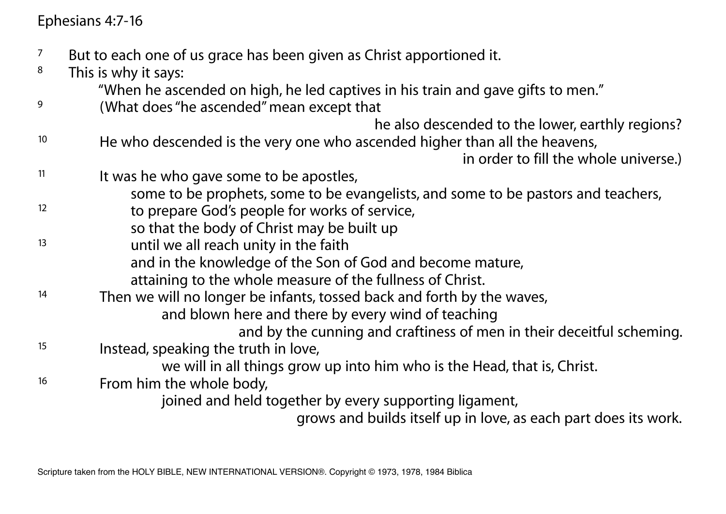Ephesians 4:7-16

- $7$  But to each one of us grace has been given as Christ apportioned it.
- $8$  This is why it says:

"When he ascended on high, he led captives in his train and gave gifts to men."

9 (What does "he ascended" mean except that

he also descended to the lower, earthly regions?

<sup>10</sup> He who descended is the very one who ascended higher than all the heavens,

in order to fill the whole universe.)

- $11$  It was he who gave some to be apostles, some to be prophets, some to be evangelists, and some to be pastors and teachers,
- <sup>12</sup> to prepare God's people for works of service, so that the body of Christ may be built up<br>13
- until we all reach unity in the faith
	- and in the knowledge of the Son of God and become mature,

attaining to the whole measure of the fullness of Christ.<br>Then we will no longer be infants, tossed back and forth by t

- Then we will no longer be infants, tossed back and forth by the waves, and blown here and there by every wind of teaching
	- and by the cunning and craftiness of men in their deceitful scheming.
- <sup>15</sup> Instead, speaking the truth in love,

we will in all things grow up into him who is the Head, that is, Christ.

<sup>16</sup> From him the whole body,

joined and held together by every supporting ligament,

grows and builds itself up in love, as each part does its work.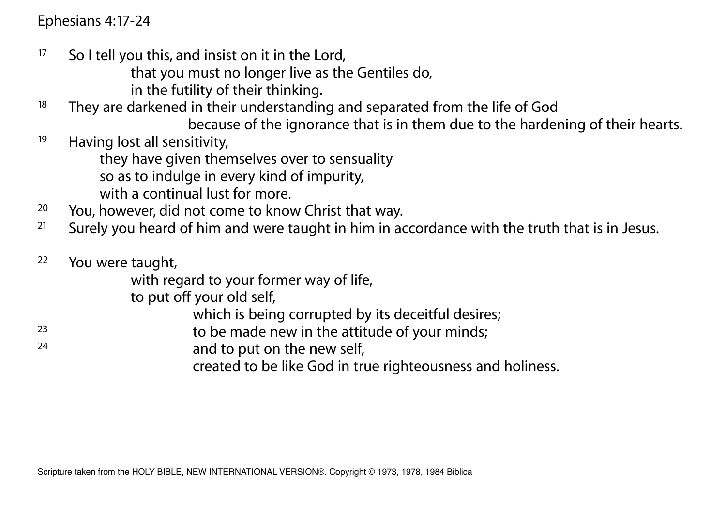Ephesians 4:17-24

<sup>17</sup> So I tell you this, and insist on it in the Lord,

that you must no longer live as the Gentiles do,

in the futility of their thinking.

<sup>18</sup> They are darkened in their understanding and separated from the life of God

because of the ignorance that is in them due to the hardening of their hearts.

19 Having lost all sensitivity,

they have given themselves over to sensuality

so as to indulge in every kind of impurity,

- with a continual lust for more.
- <sup>20</sup> You, however, did not come to know Christ that way.
- <sup>21</sup> Surely you heard of him and were taught in him in accordance with the truth that is in Jesus.
- 22 You were taught,

with regard to your former way of life,

to put off your old self,

which is being corrupted by its deceitful desires;

- 23 to be made new in the attitude of your minds;
- 24 and to put on the new self,

created to be like God in true righteousness and holiness.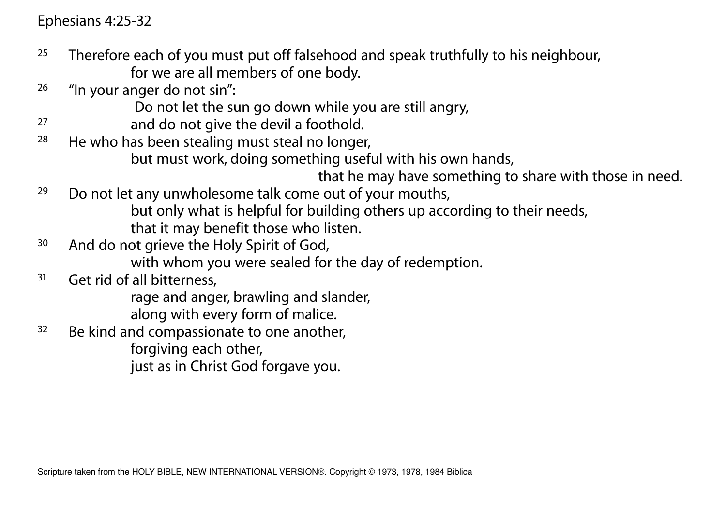### Ephesians 4:25-32

- <sup>25</sup> Therefore each of you must put off falsehood and speak truthfully to his neighbour, for we are all members of one body.
- 26 "In your anger do not sin":
	- Do not let the sun go down while you are still angry,
- 27 and do not give the devil a foothold.
- $28$  He who has been stealing must steal no longer, but must work, doing something useful with his own hands,

that he may have something to share with those in need.

- <sup>29</sup> Do not let any unwholesome talk come out of your mouths, but only what is helpful for building others up according to their needs, that it may benefit those who listen.
- <sup>30</sup> And do not grieve the Holy Spirit of God,

with whom you were sealed for the day of redemption.

<sup>31</sup> Get rid of all bitterness.

rage and anger, brawling and slander,

along with every form of malice.

<sup>32</sup> Be kind and compassionate to one another,

forgiving each other,

just as in Christ God forgave you.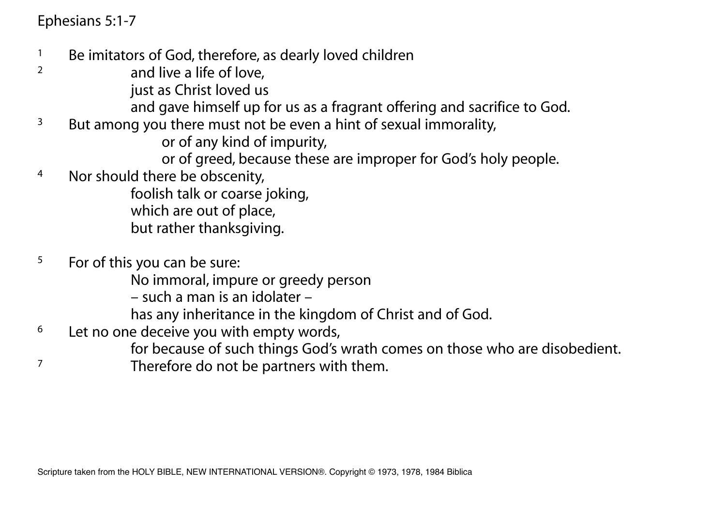Ephesians 5:1-7

- <sup>1</sup> Be imitators of God, therefore, as dearly loved children
- <sup>2</sup> and live a life of love.
	- just as Christ loved us
	- and gave himself up for us as a fragrant offering and sacrifice to God.
- <sup>3</sup> But among you there must not be even a hint of sexual immorality,
	- or of any kind of impurity,
	- or of greed, because these are improper for God's holy people.
- 4 Nor should there be obscenity,

 foolish talk or coarse joking, which are out of place, but rather thanksgiving.

 $5$  For of this you can be sure:

No immoral, impure or greedy person

– such a man is an idolater –

- has any inheritance in the kingdom of Christ and of God.
- $6$  Let no one deceive you with empty words,
	- for because of such things God's wrath comes on those who are disobedient.
- 7 Therefore do not be partners with them.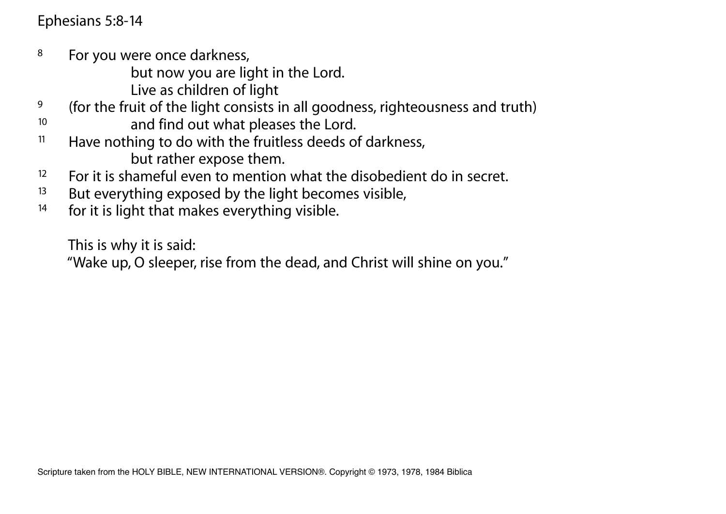Ephesians 5:8-14

8 For you were once darkness,

but now you are light in the Lord.

Live as children of light

- <sup>9</sup> (for the fruit of the light consists in all goodness, righteousness and truth) 10 and find out what pleases the Lord.
- <sup>11</sup> Have nothing to do with the fruitless deeds of darkness, but rather expose them.
- $12$  For it is shameful even to mention what the disobedient do in secret.
- <sup>13</sup> But everything exposed by the light becomes visible,<br><sup>14</sup> for it is light that makes everything visible
- for it is light that makes everything visible.

This is why it is said:

"Wake up, O sleeper, rise from the dead, and Christ will shine on you."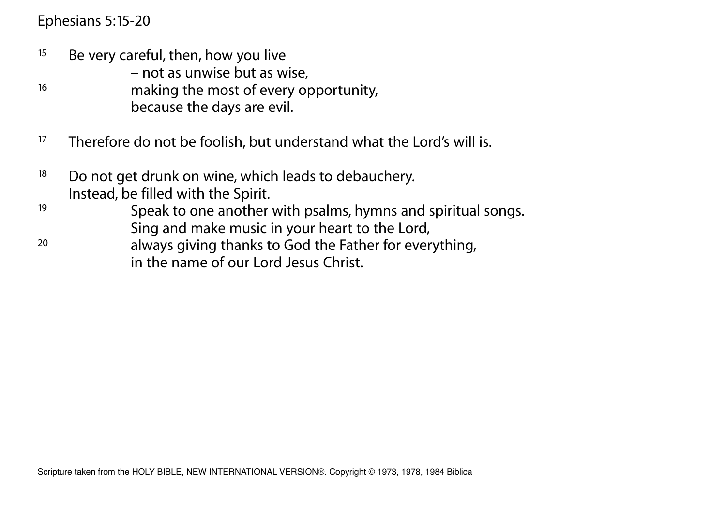#### Ephesians 5:15-20

- $15$  Be very careful, then, how you live
	- not as unwise but as wise,
- 16 making the most of every opportunity, because the days are evil.
- <sup>17</sup> Therefore do not be foolish, but understand what the Lord's will is.
- $18$  Do not get drunk on wine, which leads to debauchery. Instead, be filled with the Spirit.
- 19 Speak to one another with psalms, hymns and spiritual songs. Sing and make music in your heart to the Lord,
- 20 always giving thanks to God the Father for everything, in the name of our Lord Jesus Christ.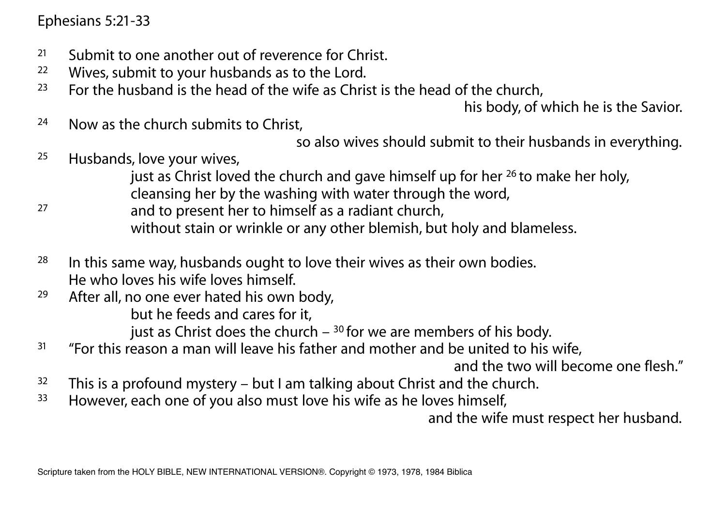Ephesians 5:21-33

- <sup>21</sup> Submit to one another out of reverence for Christ.
- <sup>22</sup> Wives, submit to your husbands as to the Lord.
- $23$  For the husband is the head of the wife as Christ is the head of the church,

his body, of which he is the Savior.

24 Now as the church submits to Christ,

so also wives should submit to their husbands in everything.

25 Husbands, love your wives,

just as Christ loved the church and gave himself up for her <sup>26</sup> to make her holy, cleansing her by the washing with water through the word,<br>and to prosent her to bimself as a radiant church

- and to present her to himself as a radiant church, without stain or wrinkle or any other blemish, but holy and blameless.
- $28$  In this same way, husbands ought to love their wives as their own bodies. He who loves his wife loves himself.
- <sup>29</sup> After all, no one ever hated his own body, but he feeds and cares for it, just as Christ does the church  $-$  <sup>30</sup> for we are members of his body.
- <sup>31</sup> "For this reason a man will leave his father and mother and be united to his wife,

and the two will become one flesh."

- $32$  This is a profound mystery but I am talking about Christ and the church.
- <sup>33</sup> However, each one of you also must love his wife as he loves himself,

and the wife must respect her husband.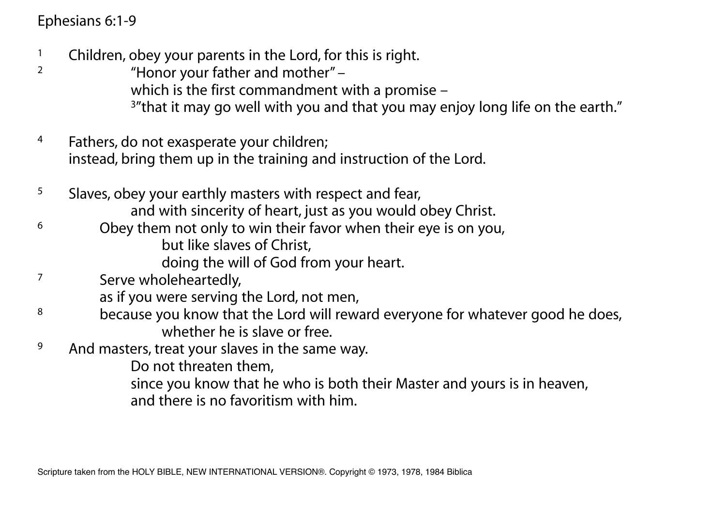# Ephesians 6:1-9

- <sup>1</sup> Children, obey your parents in the Lord, for this is right.
- <sup>2</sup> "Honor your father and mother" which is the first commandment with a promise – <sup>3</sup>"that it may go well with you and that you may enjoy long life on the earth."
- 4 Fathers, do not exasperate your children; instead, bring them up in the training and instruction of the Lord.
- <sup>5</sup> Slaves, obey your earthly masters with respect and fear, and with sincerity of heart, just as you would obey Christ.
- $6$  Obey them not only to win their favor when their eye is on you, but like slaves of Christ,
	- doing the will of God from your heart.
- <sup>7</sup> Serve wholeheartedly,
	- as if you were serving the Lord, not men,
- <sup>8</sup> because you know that the Lord will reward everyone for whatever good he does, whether he is slave or free.
- <sup>9</sup> And masters, treat your slaves in the same way.
	- Do not threaten them,
	- since you know that he who is both their Master and yours is in heaven, and there is no favoritism with him.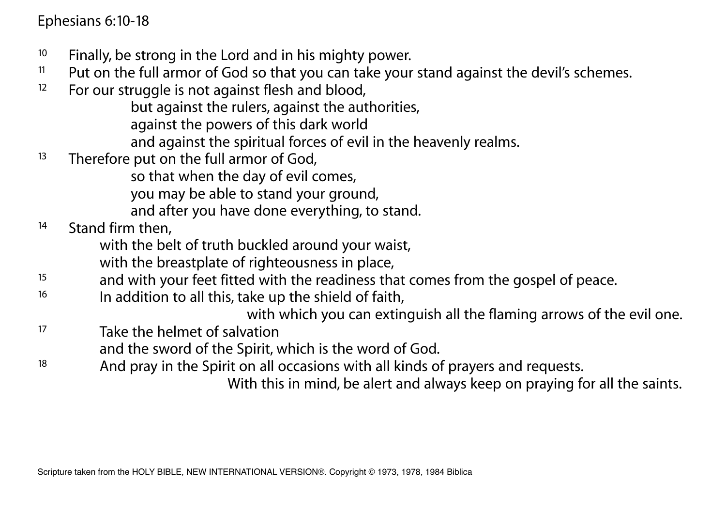# Ephesians 6:10-18

- $10$  Finally, be strong in the Lord and in his mighty power.
- <sup>11</sup> Put on the full armor of God so that you can take your stand against the devil's schemes.
- <sup>12</sup> For our struggle is not against flesh and blood,
	- but against the rulers, against the authorities,
	- against the powers of this dark world
	- and against the spiritual forces of evil in the heavenly realms.
- <sup>13</sup> Therefore put on the full armor of God,

so that when the day of evil comes,

you may be able to stand your ground,

and after you have done everything, to stand.

# 14 Stand firm then,

with the belt of truth buckled around your waist,

with the breastplate of righteousness in place,

- $15$  and with your feet fitted with the readiness that comes from the gospel of peace.
- <sup>16</sup> In addition to all this, take up the shield of faith,

with which you can extinguish all the flaming arrows of the evil one.

- 17 Take the helmet of salvation and the sword of the Spirit, which is the word of God.
- <sup>18</sup> And pray in the Spirit on all occasions with all kinds of prayers and requests.

With this in mind, be alert and always keep on praying for all the saints.